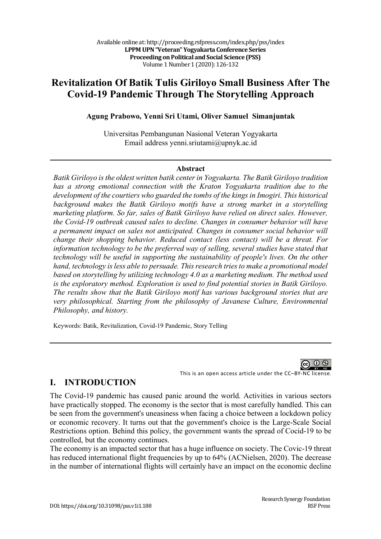# **Revitalization Of Batik Tulis Giriloyo Small Business After The Covid-19 Pandemic Through The Storytelling Approach**

#### **Agung Prabowo, Yenni Sri Utami, Oliver Samuel Simanjuntak**

Universitas Pembangunan Nasional Veteran Yogyakarta Email address yenni.sriutami@upnyk.ac.id

#### **Abstract**

*Batik Giriloyo is the oldest written batik center in Yogyakarta. The Batik Giriloyo tradition has a strong emotional connection with the Kraton Yogyakarta tradition due to the development of the courtiers who guarded the tombs of the kings in Imogiri. This historical background makes the Batik Giriloyo motifs have a strong market in a storytelling marketing platform. So far, sales of Batik Giriloyo have relied on direct sales. However, the Covid-19 outbreak caused sales to decline. Changes in consumer behavior will have a permanent impact on sales not anticipated. Changes in consumer social behavior will change their shopping behavior. Reduced contact (less contact) will be a threat. For information technology to be the preferred way of selling, several studies have stated that technology will be useful in supporting the sustainability of people's lives. On the other hand, technology is less able to persuade. This research tries to make a promotional model based on storytelling by utilizing technology 4.0 as a marketing medium. The method used is the exploratory method. Exploration is used to find potential stories in Batik Giriloyo. The results show that the Batik Giriloyo motif has various background stories that are very philosophical. Starting from the philosophy of Javanese Culture, Environmental Philosophy, and history.*

Keywords: Batik, Revitalization, Covid-19 Pandemic, Story Telling

 $\odot$   $\odot$ 

This is an open access article under the CC–BY-NC license.

#### **I. INTRODUCTION**

The Covid-19 pandemic has caused panic around the world. Activities in various sectors have practically stopped. The economy is the sector that is most carefully handled. This can be seen from the government's uneasiness when facing a choice between a lockdown policy or economic recovery. It turns out that the government's choice is the Large-Scale Social Restrictions option. Behind this policy, the government wants the spread of Cocid-19 to be controlled, but the economy continues.

The economy is an impacted sector that has a huge influence on society. The Covic-19 threat has reduced international flight frequencies by up to  $64\%$  (ACNielsen, 2020). The decrease in the number of international flights will certainly have an impact on the economic decline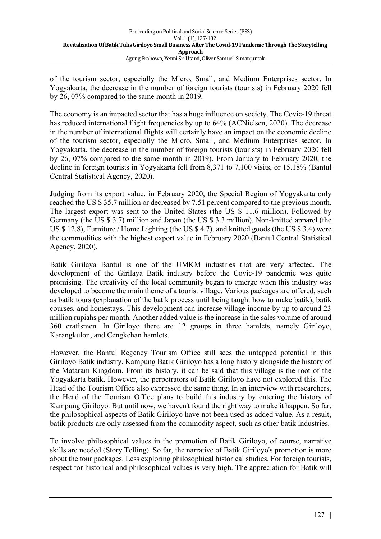of the tourism sector, especially the Micro, Small, and Medium Enterprises sector. In Yogyakarta, the decrease in the number of foreign tourists (tourists) in February 2020 fell by 26, 07% compared to the same month in 2019.

The economy is an impacted sector that has a huge influence on society. The Covic-19 threat has reduced international flight frequencies by up to  $64\%$  (ACNielsen, 2020). The decrease in the number of international flights will certainly have an impact on the economic decline of the tourism sector, especially the Micro, Small, and Medium Enterprises sector. In Yogyakarta, the decrease in the number of foreign tourists (tourists) in February 2020 fell by 26, 07% compared to the same month in 2019). From January to February 2020, the decline in foreign tourists in Yogyakarta fell from 8,371 to 7,100 visits, or 15.18% (Bantul Central Statistical Agency, 2020).

Judging from its export value, in February 2020, the Special Region of Yogyakarta only reached the US \$ 35.7 million or decreased by 7.51 percent compared to the previous month. The largest export was sent to the United States (the US \$ 11.6 million). Followed by Germany (the US \$ 3.7) million and Japan (the US \$ 3.3 million). Non-knitted apparel (the US \$ 12.8), Furniture / Home Lighting (the US \$ 4.7), and knitted goods (the US \$ 3.4) were the commodities with the highest export value in February 2020 (Bantul Central Statistical Agency, 2020).

Batik Girilaya Bantul is one of the UMKM industries that are very affected. The development of the Girilaya Batik industry before the Covic-19 pandemic was quite promising. The creativity of the local community began to emerge when this industry was developed to become the main theme of a tourist village. Various packages are offered, such as batik tours (explanation of the batik process until being taught how to make batik), batik courses, and homestays. This development can increase village income by up to around 23 million rupiahs per month. Another added value is the increase in the sales volume of around 360 craftsmen. In Giriloyo there are 12 groups in three hamlets, namely Giriloyo, Karangkulon, and Cengkehan hamlets.

However, the Bantul Regency Tourism Office still sees the untapped potential in this Giriloyo Batik industry. Kampung Batik Giriloyo has a long history alongside the history of the Mataram Kingdom. From its history, it can be said that this village is the root of the Yogyakarta batik. However, the perpetrators of Batik Giriloyo have not explored this. The Head of the Tourism Office also expressed the same thing. In an interview with researchers, the Head of the Tourism Office plans to build this industry by entering the history of Kampung Giriloyo. But until now, we haven't found the right way to make it happen. So far, the philosophical aspects of Batik Giriloyo have not been used as added value. As a result, batik products are only assessed from the commodity aspect, such as other batik industries.

To involve philosophical values in the promotion of Batik Giriloyo, of course, narrative skills are needed (Story Telling). So far, the narrative of Batik Giriloyo's promotion is more about the tour packages. Less exploring philosophical historical studies. For foreign tourists, respect for historical and philosophical values is very high. The appreciation for Batik will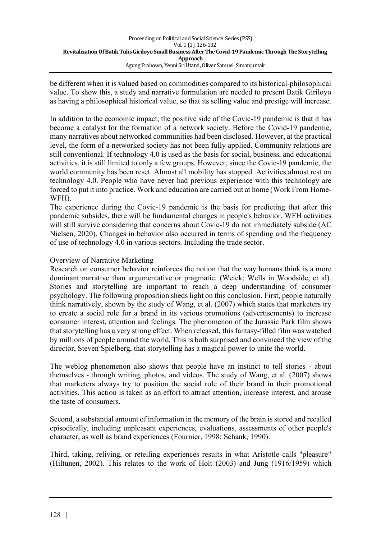be different when it is valued based on commodities compared to its historical-philosophical value. To show this, a study and narrative formulation are needed to present Batik Giriloyo as having a philosophical historical value, so that its selling value and prestige will increase.

In addition to the economic impact, the positive side of the Covic-19 pandemic is that it has become a catalyst for the formation of a network society. Before the Covid-19 pandemic, many narratives about networked communities had been disclosed. However, at the practical level, the form of a networked society has not been fully applied. Community relations are still conventional. If technology 4.0 is used as the basis for social, business, and educational activities, it is still limited to only a few groups. However, since the Covic-19 pandemic, the world community has been reset. Almost all mobility has stopped. Activities almost rest on technology 4.0. People who have never had previous experience with this technology are forced to put it into practice. Work and education are carried out at home (Work From Home-WFH).

The experience during the Covic-19 pandemic is the basis for predicting that after this pandemic subsides, there will be fundamental changes in people's behavior. WFH activities will still survive considering that concerns about Covic-19 do not immediately subside (AC Nielsen, 2020). Changes in behavior also occurred in terms of spending and the frequency of use of technology 4.0 in various sectors. Including the trade sector.

#### Overview of Narrative Marketing

Research on consumer behavior reinforces the notion that the way humans think is a more dominant narrative than argumentative or pragmatic. (Weick; Wells in Woodside, et al). Stories and storytelling are important to reach a deep understanding of consumer psychology. The following proposition sheds light on this conclusion. First, people naturally think narratively, shown by the study of Wang, et al. (2007) which states that marketers try to create a social role for a brand in its various promotions (advertisements) to increase consumer interest, attention and feelings. The phenomenon of the Jurassic Park film shows that storytelling has a very strong effect. When released, this fantasy-filled film was watched by millions of people around the world. This is both surprised and convinced the view of the director, Steven Spielberg, that storytelling has a magical power to unite the world.

The weblog phenomenon also shows that people have an instinct to tell stories - about themselves - through writing, photos, and videos. The study of Wang, et al. (2007) shows that marketers always try to position the social role of their brand in their promotional activities. This action is taken as an effort to attract attention, increase interest, and arouse the taste of consumers.

Second, a substantial amount of information in the memory of the brain is stored and recalled episodically, including unpleasant experiences, evaluations, assessments of other people's character, as well as brand experiences (Fournier, 1998; Schank, 1990).

Third, taking, reliving, or retelling experiences results in what Aristotle calls "pleasure" (Hiltunen, 2002). This relates to the work of Holt (2003) and Jung (1916/1959) which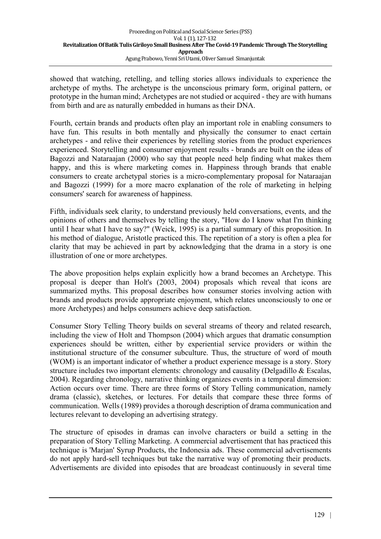showed that watching, retelling, and telling stories allows individuals to experience the archetype of myths. The archetype is the unconscious primary form, original pattern, or prototype in the human mind; Archetypes are not studied or acquired - they are with humans from birth and are as naturally embedded in humans as their DNA.

Fourth, certain brands and products often play an important role in enabling consumers to have fun. This results in both mentally and physically the consumer to enact certain archetypes - and relive their experiences by retelling stories from the product experiences experienced. Storytelling and consumer enjoyment results - brands are built on the ideas of Bagozzi and Nataraajan (2000) who say that people need help finding what makes them happy, and this is where marketing comes in. Happiness through brands that enable consumers to create archetypal stories is a micro-complementary proposal for Nataraajan and Bagozzi (1999) for a more macro explanation of the role of marketing in helping consumers' search for awareness of happiness.

Fifth, individuals seek clarity, to understand previously held conversations, events, and the opinions of others and themselves by telling the story, "How do I know what I'm thinking until I hear what I have to say?" (Weick, 1995) is a partial summary of this proposition. In his method of dialogue, Aristotle practiced this. The repetition of a story is often a plea for clarity that may be achieved in part by acknowledging that the drama in a story is one illustration of one or more archetypes.

The above proposition helps explain explicitly how a brand becomes an Archetype. This proposal is deeper than Holt's (2003, 2004) proposals which reveal that icons are summarized myths. This proposal describes how consumer stories involving action with brands and products provide appropriate enjoyment, which relates unconsciously to one or more Archetypes) and helps consumers achieve deep satisfaction.

Consumer Story Telling Theory builds on several streams of theory and related research, including the view of Holt and Thompson (2004) which argues that dramatic consumption experiences should be written, either by experiential service providers or within the institutional structure of the consumer subculture. Thus, the structure of word of mouth (WOM) is an important indicator of whether a product experience message is a story. Story structure includes two important elements: chronology and causality (Delgadillo & Escalas, 2004). Regarding chronology, narrative thinking organizes events in a temporal dimension: Action occurs over time. There are three forms of Story Telling communication, namely drama (classic), sketches, or lectures. For details that compare these three forms of communication. Wells (1989) provides a thorough description of drama communication and lectures relevant to developing an advertising strategy.

The structure of episodes in dramas can involve characters or build a setting in the preparation of Story Telling Marketing. A commercial advertisement that has practiced this technique is 'Marjan' Syrup Products, the Indonesia ads. These commercial advertisements do not apply hard-sell techniques but take the narrative way of promoting their products. Advertisements are divided into episodes that are broadcast continuously in several time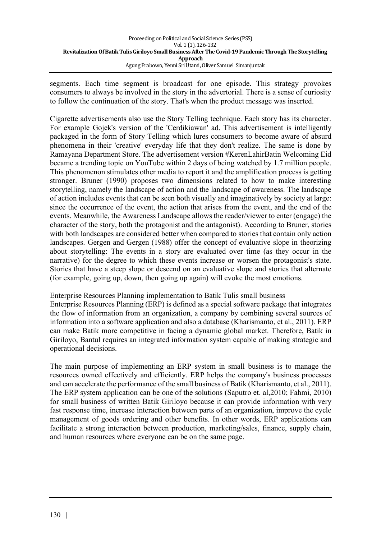segments. Each time segment is broadcast for one episode. This strategy provokes consumers to always be involved in the story in the advertorial. There is a sense of curiosity to follow the continuation of the story. That's when the product message was inserted.

Cigarette advertisements also use the Story Telling technique. Each story has its character. For example Gojek's version of the 'Cerdikiawan' ad. This advertisement is intelligently packaged in the form of Story Telling which lures consumers to become aware of absurd phenomena in their 'creative' everyday life that they don't realize. The same is done by Ramayana Department Store. The advertisement version #KerenLahirBatin Welcoming Eid became a trending topic on YouTube within 2 days of being watched by 1.7 million people. This phenomenon stimulates other media to report it and the amplification process is getting stronger. Bruner (1990) proposes two dimensions related to how to make interesting storytelling, namely the landscape of action and the landscape of awareness. The landscape of action includes events that can be seen both visually and imaginatively by society at large: since the occurrence of the event, the action that arises from the event, and the end of the events. Meanwhile, the Awareness Landscape allows the reader/viewer to enter (engage) the character of the story, both the protagonist and the antagonist). According to Bruner, stories with both landscapes are considered better when compared to stories that contain only action landscapes. Gergen and Gergen (1988) offer the concept of evaluative slope in theorizing about storytelling: The events in a story are evaluated over time (as they occur in the narrative) for the degree to which these events increase or worsen the protagonist's state. Stories that have a steep slope or descend on an evaluative slope and stories that alternate (for example, going up, down, then going up again) will evoke the most emotions.

Enterprise Resources Planning implementation to Batik Tulis small business

Enterprise Resources Planning (ERP) is defined as a special software package that integrates the flow of information from an organization, a company by combining several sources of information into a software application and also a database (Kharismanto, et al., 2011). ERP can make Batik more competitive in facing a dynamic global market. Therefore, Batik in Giriloyo, Bantul requires an integrated information system capable of making strategic and operational decisions.

The main purpose of implementing an ERP system in small business is to manage the resources owned effectively and efficiently. ERP helps the company's business processes and can accelerate the performance of the small business of Batik (Kharismanto, et al., 2011). The ERP system application can be one of the solutions (Saputro et. al,2010; Fahmi, 2010) for small business of written Batik Giriloyo because it can provide information with very fast response time, increase interaction between parts of an organization, improve the cycle management of goods ordering and other benefits. In other words, ERP applications can facilitate a strong interaction between production, marketing/sales, finance, supply chain, and human resources where everyone can be on the same page.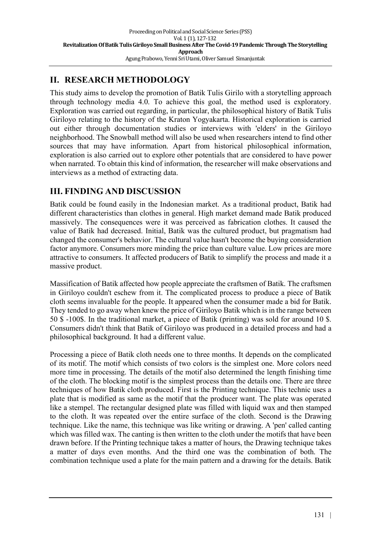## **II. RESEARCH METHODOLOGY**

This study aims to develop the promotion of Batik Tulis Girilo with a storytelling approach through technology media 4.0. To achieve this goal, the method used is exploratory. Exploration was carried out regarding, in particular, the philosophical history of Batik Tulis Giriloyo relating to the history of the Kraton Yogyakarta. Historical exploration is carried out either through documentation studies or interviews with 'elders' in the Giriloyo neighborhood. The Snowball method will also be used when researchers intend to find other sources that may have information. Apart from historical philosophical information, exploration is also carried out to explore other potentials that are considered to have power when narrated. To obtain this kind of information, the researcher will make observations and interviews as a method of extracting data.

## **III. FINDING AND DISCUSSION**

Batik could be found easily in the Indonesian market. As a traditional product, Batik had different characteristics than clothes in general. High market demand made Batik produced massively. The consequences were it was perceived as fabrication clothes. It caused the value of Batik had decreased. Initial, Batik was the cultured product, but pragmatism had changed the consumer's behavior. The cultural value hasn't become the buying consideration factor anymore. Consumers more minding the price than culture value. Low prices are more attractive to consumers. It affected producers of Batik to simplify the process and made it a massive product.

Massification of Batik affected how people appreciate the craftsmen of Batik. The craftsmen in Giriloyo couldn't eschew from it. The complicated process to produce a piece of Batik cloth seems invaluable for the people. It appeared when the consumer made a bid for Batik. They tended to go away when knew the price of Giriloyo Batik which is in the range between 50 \$ -100\$. In the traditional market, a piece of Batik (printing) was sold for around 10 \$. Consumers didn't think that Batik of Giriloyo was produced in a detailed process and had a philosophical background. It had a different value.

Processing a piece of Batik cloth needs one to three months. It depends on the complicated of its motif. The motif which consists of two colors is the simplest one. More colors need more time in processing. The details of the motif also determined the length finishing time of the cloth. The blocking motif is the simplest process than the details one. There are three techniques of how Batik cloth produced. First is the Printing technique. This technic uses a plate that is modified as same as the motif that the producer want. The plate was operated like a stempel. The rectangular designed plate was filled with liquid wax and then stamped to the cloth. It was repeated over the entire surface of the cloth. Second is the Drawing technique. Like the name, this technique was like writing or drawing. A 'pen' called canting which was filled wax. The canting is then written to the cloth under the motifs that have been drawn before. If the Printing technique takes a matter of hours, the Drawing technique takes a matter of days even months. And the third one was the combination of both. The combination technique used a plate for the main pattern and a drawing for the details. Batik